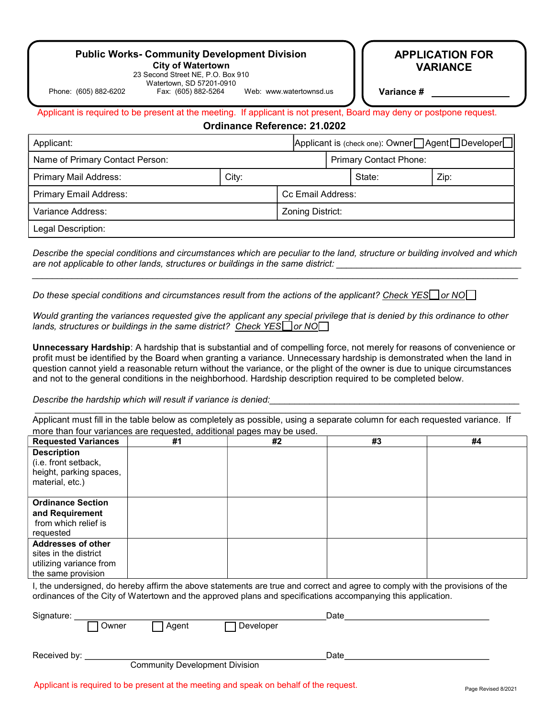# Public Works- Community Development Division

City of Watertown 23 Second Street NE, P.O. Box 910

Watertown, SD 57201-0910<br>Fax: (605) 882-5264 Phone: (605) 882-6202 Fax: (605) 882-5264 Web: www.watertownsd.us

APPLICATION FOR VARIANCE

**Variance** #

Applicant is required to be present at the meeting. If applicant is not present, Board may deny or postpone request.

Ordinance Reference: 21.0202

| Applicant:                      |       |                   | Applicant is (check one): Owner□ Agent□ Developer□ |        |      |
|---------------------------------|-------|-------------------|----------------------------------------------------|--------|------|
| Name of Primary Contact Person: |       |                   | <b>Primary Contact Phone:</b>                      |        |      |
| <b>Primary Mail Address:</b>    | City: |                   |                                                    | State: | Zip: |
| <b>Primary Email Address:</b>   |       | Cc Email Address: |                                                    |        |      |
| Variance Address:               |       | Zoning District:  |                                                    |        |      |
| Legal Description:              |       |                   |                                                    |        |      |

Describe the special conditions and circumstances which are peculiar to the land, structure or building involved and which are not applicable to other lands, structures or buildings in the same district: \_\_\_\_\_\_\_\_\_\_\_\_\_\_\_\_\_\_\_\_\_\_\_\_\_\_\_\_\_\_\_\_\_\_\_\_\_\_\_\_\_\_\_\_\_\_\_\_\_\_\_\_\_\_\_\_\_\_\_\_\_\_\_\_\_\_\_\_\_\_\_\_\_\_\_\_\_\_\_\_\_\_\_\_\_\_\_\_\_\_\_\_\_\_\_\_\_

Do these special conditions and circumstances result from the actions of the applicant? Check YES or NO

Would granting the variances requested give the applicant any special privilege that is denied by this ordinance to other lands, structures or buildings in the same district? Check YES<sup>1</sup> or NO<sup>1</sup>

Unnecessary Hardship: A hardship that is substantial and of compelling force, not merely for reasons of convenience or profit must be identified by the Board when granting a variance. Unnecessary hardship is demonstrated when the land in question cannot yield a reasonable return without the variance, or the plight of the owner is due to unique circumstances and not to the general conditions in the neighborhood. Hardship description required to be completed below.

Describe the hardship which will result if variance is denied:

Applicant must fill in the table below as completely as possible, using a separate column for each requested variance. If more than four variances are requested, additional pages may be used.

\_\_\_\_\_\_\_\_\_\_\_\_\_\_\_\_\_\_\_\_\_\_\_\_\_\_\_\_\_\_\_\_\_\_\_\_\_\_\_\_\_\_\_\_\_\_\_\_\_\_\_\_\_\_\_\_\_\_\_\_\_\_\_\_\_\_\_\_\_\_\_\_\_\_\_\_\_\_\_\_\_\_\_\_\_\_\_\_\_\_\_\_\_\_\_\_\_

| <b>Requested Variances</b>                                                                          | #1 | #2 | #3 | #4 |
|-----------------------------------------------------------------------------------------------------|----|----|----|----|
| <b>Description</b><br>(i.e. front setback,<br>height, parking spaces,<br>material, etc.)            |    |    |    |    |
| <b>Ordinance Section</b><br>and Requirement<br>from which relief is<br>requested                    |    |    |    |    |
| <b>Addresses of other</b><br>sites in the district<br>utilizing variance from<br>the same provision |    |    |    |    |

I, the undersigned, do hereby affirm the above statements are true and correct and agree to comply with the provisions of the ordinances of the City of Watertown and the approved plans and specifications accompanying this application.

| Signature:   |       |       | Date      |      |  |
|--------------|-------|-------|-----------|------|--|
|              | Owner | Agent | Developer |      |  |
|              |       |       |           |      |  |
|              |       |       |           |      |  |
| Received by: |       |       |           | Date |  |
|              |       |       |           |      |  |

Community Development Division